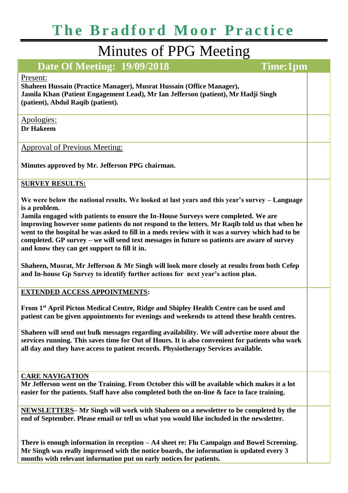# **The Bradford Moor Practice**

## Minutes of PPG Meeting

### **Date Of Meeting: 19/09/2018 Time:1pm**

#### Present:

**Shaheen Hussain (Practice Manager), Musrat Hussain (Office Manager), Jamila Khan (Patient Engagement Lead), Mr Ian Jefferson (patient), Mr Hadji Singh (patient), Abdul Raqib (patient).** 

#### Apologies: **Dr Hakeem**

Approval of Previous Meeting:

**Minutes approved by Mr. Jefferson PPG chairman.** 

#### **SURVEY RESULTS:**

**We were below the national results. We looked at last years and this year's survey – Language is a problem.**

**Jamila engaged with patients to ensure the In-House Surveys were completed. We are improving however some patients do not respond to the letters. Mr Raqib told us that when he went to the hospital he was asked to fill in a meds review with it was a survey which had to be completed. GP survey – we will send text messages in future so patients are aware of survey and know they can get support to fill it in.**

**Shaheen, Musrat, Mr Jefferson & Mr Singh will look more closely at results from both Cefep and In-house Gp Survey to identify further actions for next year's action plan.** 

**EXTENDED ACCESS APPOINTMENTS:**

**From 1st April Picton Medical Centre, Ridge and Shipley Health Centre can be used and patient can be given appointments for evenings and weekends to attend these health centres.**

**Shaheen will send out bulk messages regarding availability. We will advertise more about the services running. This saves time for Out of Hours. It is also convenient for patients who work all day and they have access to patient records. Physiotherapy Services available.**

#### **CARE NAVIGATION**

**Mr Jefferson went on the Training. From October this will be available which makes it a lot easier for the patients. Staff have also completed both the on-line & face to face training.**

**NEWSLETTERS– Mr Singh will work with Shaheen on a newsletter to be completed by the end of September. Please email or tell us what you would like included in the newsletter.** 

**There is enough information in reception – A4 sheet re: Flu Campaign and Bowel Screening. Mr Singh was really impressed with the notice boards, the information is updated every 3 months with relevant information put on early notices for patients.**